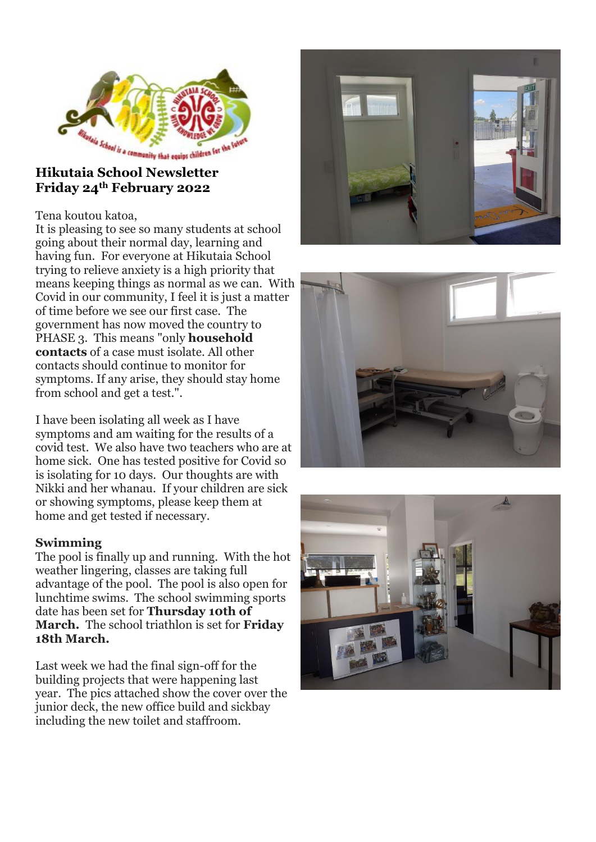

# **Friday 24th February 2022**

## Tena koutou katoa,

It is pleasing to see so many students at school going about their normal day, learning and having fun. For everyone at Hikutaia School trying to relieve anxiety is a high priority that means keeping things as normal as we can. With Covid in our community, I feel it is just a matter of time before we see our first case. The government has now moved the country to PHASE 3. This means "only **household contacts** of a case must isolate. All other contacts should continue to monitor for symptoms. If any arise, they should stay home from school and get a test.".

I have been isolating all week as I have symptoms and am waiting for the results of a covid test. We also have two teachers who are at home sick. One has tested positive for Covid so is isolating for 10 days. Our thoughts are with Nikki and her whanau. If your children are sick or showing symptoms, please keep them at home and get tested if necessary.

## **Swimming**

The pool is finally up and running. With the hot weather lingering, classes are taking full advantage of the pool. The pool is also open for lunchtime swims. The school swimming sports date has been set for **Thursday 10th of March.** The school triathlon is set for **Friday 18th March.**

Last week we had the final sign-off for the building projects that were happening last year. The pics attached show the cover over the junior deck, the new office build and sickbay including the new toilet and staffroom.





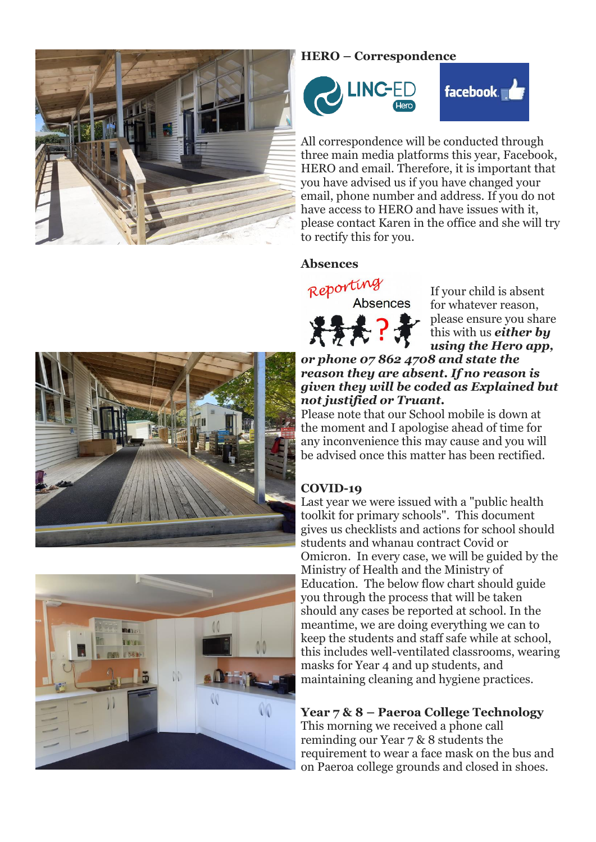

## **HERO – Correspondence**



All correspondence will be conducted through three main media platforms this year, Facebook, HERO and email. Therefore, it is important that you have advised us if you have changed your email, phone number and address. If you do not have access to HERO and have issues with it, please contact Karen in the office and she will try to rectify this for you.

#### **Absences**



If your child is absent for whatever reason, please ensure you share this with us *either by using the Hero app,* 





#### *or phone 07 862 4708 and state the reason they are absent. If no reason is given they will be coded as Explained but not justified or Truant.*

Please note that our School mobile is down at the moment and I apologise ahead of time for any inconvenience this may cause and you will be advised once this matter has been rectified.

# **COVID-19**

Last year we were issued with a "public health toolkit for primary schools". This document gives us checklists and actions for school should students and whanau contract Covid or Omicron. In every case, we will be guided by the Ministry of Health and the Ministry of Education. The below flow chart should guide you through the process that will be taken should any cases be reported at school. In the meantime, we are doing everything we can to keep the students and staff safe while at school, this includes well-ventilated classrooms, wearing masks for Year 4 and up students, and maintaining cleaning and hygiene practices.

# **Year 7 & 8 – Paeroa College Technology**

This morning we received a phone call reminding our Year 7 & 8 students the requirement to wear a face mask on the bus and on Paeroa college grounds and closed in shoes.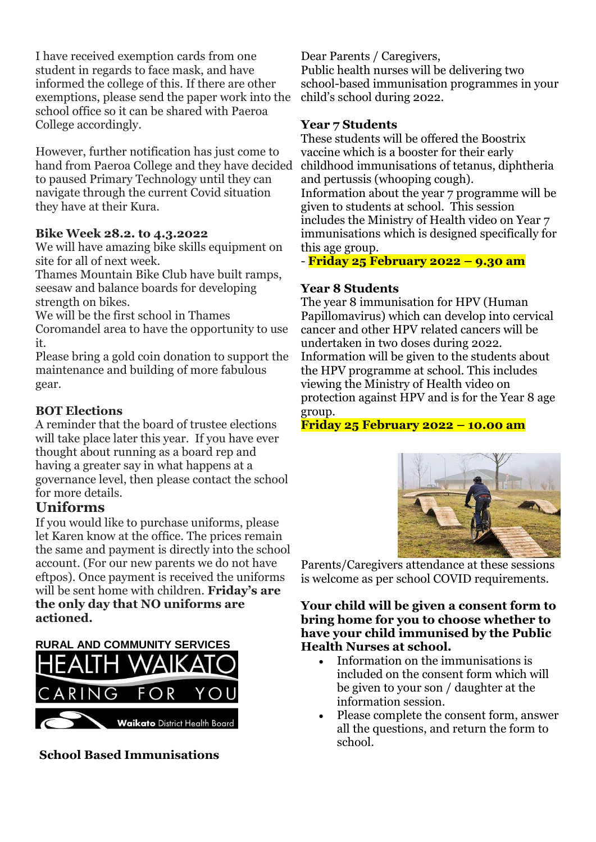I have received exemption cards from one student in regards to face mask, and have informed the college of this. If there are other exemptions, please send the paper work into the school office so it can be shared with Paeroa College accordingly.

However, further notification has just come to hand from Paeroa College and they have decided to paused Primary Technology until they can navigate through the current Covid situation they have at their Kura.

## **Bike Week 28.2. to 4.3.2022**

We will have amazing bike skills equipment on site for all of next week.

Thames Mountain Bike Club have built ramps, seesaw and balance boards for developing strength on bikes.

We will be the first school in Thames

Coromandel area to have the opportunity to use it.

Please bring a gold coin donation to support the maintenance and building of more fabulous gear.

## **BOT Elections**

A reminder that the board of trustee elections will take place later this year. If you have ever thought about running as a board rep and having a greater say in what happens at a governance level, then please contact the school for more details.

# **Uniforms**

If you would like to purchase uniforms, please let Karen know at the office. The prices remain the same and payment is directly into the school account. (For our new parents we do not have eftpos). Once payment is received the uniforms will be sent home with children. **Friday's are the only day that NO uniforms are actioned.**

**RURAL AND COMMUNITY SERVICES**



**School Based Immunisations**

Dear Parents / Caregivers, Public health nurses will be delivering two school-based immunisation programmes in your child's school during 2022.

## **Year 7 Students**

These students will be offered the Boostrix vaccine which is a booster for their early childhood immunisations of tetanus, diphtheria and pertussis (whooping cough). Information about the year 7 programme will be given to students at school. This session includes the Ministry of Health video on Year 7 immunisations which is designed specifically for this age group.

- **Friday 25 February 2022 – 9.30 am**

# **Year 8 Students**

The year 8 immunisation for HPV (Human Papillomavirus) which can develop into cervical cancer and other HPV related cancers will be undertaken in two doses during 2022. Information will be given to the students about the HPV programme at school. This includes viewing the Ministry of Health video on protection against HPV and is for the Year 8 age group.

**Friday 25 February 2022 – 10.00 am**



Parents/Caregivers attendance at these sessions is welcome as per school COVID requirements.

## **Your child will be given a consent form to bring home for you to choose whether to have your child immunised by the Public Health Nurses at school.**

- Information on the immunisations is included on the consent form which will be given to your son / daughter at the information session.
- Please complete the consent form, answer all the questions, and return the form to school.